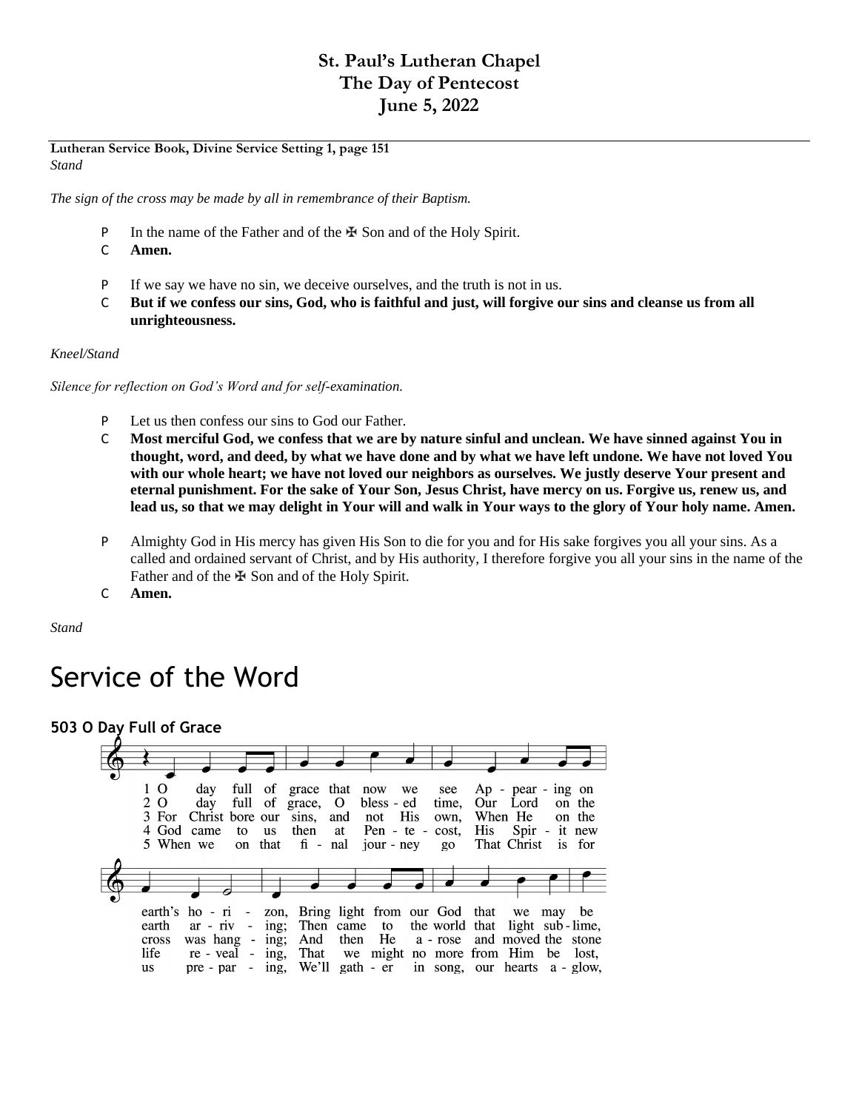# **St. Paul's Lutheran Chapel The Day of Pentecost June 5, 2022**

**Lutheran Service Book, Divine Service Setting 1, page 151** *Stand*

*The sign of the cross may be made by all in remembrance of their Baptism.*

- P In the name of the Father and of the ₩ Son and of the Holy Spirit.
- C **Amen.**
- P If we say we have no sin, we deceive ourselves, and the truth is not in us.
- C **But if we confess our sins, God, who is faithful and just, will forgive our sins and cleanse us from all unrighteousness.**

#### *Kneel/Stand*

*Silence for reflection on God's Word and for self-examination.*

- P Let us then confess our sins to God our Father.
- C **Most merciful God, we confess that we are by nature sinful and unclean. We have sinned against You in thought, word, and deed, by what we have done and by what we have left undone. We have not loved You with our whole heart; we have not loved our neighbors as ourselves. We justly deserve Your present and eternal punishment. For the sake of Your Son, Jesus Christ, have mercy on us. Forgive us, renew us, and lead us, so that we may delight in Your will and walk in Your ways to the glory of Your holy name. Amen.**
- P Almighty God in His mercy has given His Son to die for you and for His sake forgives you all your sins. As a called and ordained servant of Christ, and by His authority, I therefore forgive you all your sins in the name of the Father and of the ✠ Son and of the Holy Spirit.
- C **Amen.**

*Stand*

# Service of the Word

**503 O Day Full of Grace**

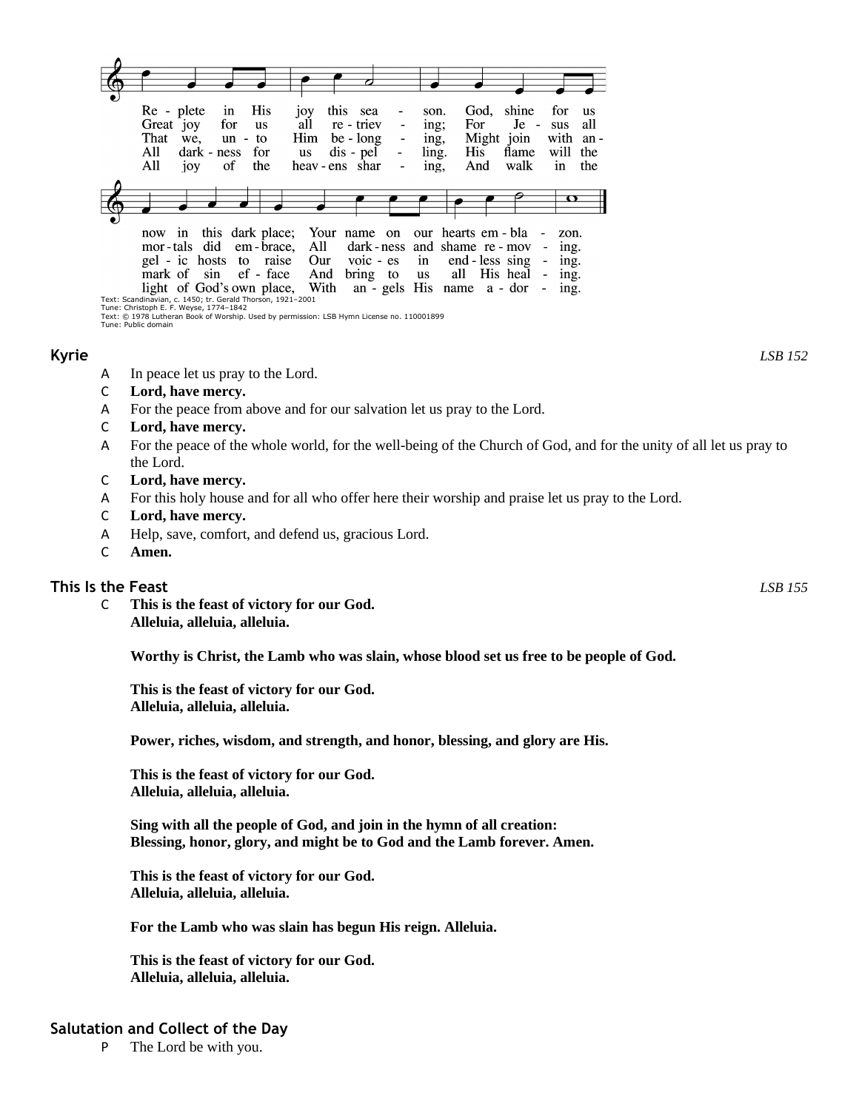|                                        | Re - plete<br>Great joy<br>That<br>we.<br>All<br>All<br>joy                                                                                                 | in<br>for<br>$un -$<br>dark - ness<br>of | His<br><b>us</b><br>to<br>for<br>the         | 10Y<br>all<br>Him<br><b>us</b> | this sea<br>re - triev<br>be - long<br>dis - pel<br>heav-ens shar | $\blacksquare$                                                                                                                            | son.<br>ing;<br>ing,<br>ling.<br>ing, | God,<br>For<br>His<br>And | shine<br>$Je -$<br>Might join<br>flame<br>walk |                                                                                                    | for<br><b>us</b><br>all<br>sus<br>with<br>- an<br>will<br>the<br>the<br>in |
|----------------------------------------|-------------------------------------------------------------------------------------------------------------------------------------------------------------|------------------------------------------|----------------------------------------------|--------------------------------|-------------------------------------------------------------------|-------------------------------------------------------------------------------------------------------------------------------------------|---------------------------------------|---------------------------|------------------------------------------------|----------------------------------------------------------------------------------------------------|----------------------------------------------------------------------------|
|                                        |                                                                                                                                                             |                                          |                                              |                                |                                                                   |                                                                                                                                           |                                       |                           |                                                |                                                                                                    |                                                                            |
|                                        |                                                                                                                                                             |                                          |                                              |                                |                                                                   |                                                                                                                                           |                                       |                           |                                                |                                                                                                    | π                                                                          |
|                                        |                                                                                                                                                             |                                          |                                              |                                |                                                                   |                                                                                                                                           |                                       |                           |                                                |                                                                                                    |                                                                            |
| О.                                     | now in<br>mor-tals did<br>gel - ic hosts to raise<br>mark of sin<br>light of God's own place,<br>Text: Scandinavian, c. 1450; tr. Gerald Thorson, 1921-2001 |                                          | this dark place;<br>em - brace,<br>ef - face | All<br>Our<br>And              |                                                                   | Your name on our hearts em - bla<br>dark-ness and shame re-mov<br>$\overline{v}$ voic - es<br>bring to<br>With an - gels His name a - dor | $\mathbf{in}$<br>us                   |                           | end - less sing<br>all His heal                | $\overline{\phantom{a}}$<br>$\blacksquare$<br>$\overline{\phantom{a}}$<br>$\overline{\phantom{a}}$ | zon.<br>ing.<br>ing.<br>ing.<br>ing.                                       |
| Tune: Christoph E. F. Weyse, 1774-1842 |                                                                                                                                                             |                                          |                                              |                                |                                                                   |                                                                                                                                           |                                       |                           |                                                |                                                                                                    |                                                                            |

Tune: Christoph E. F. Weyse, 1774–1842<br>Text: © 1978 Lutheran Book of Worship. Used by permission: LSB Hymn License no. 110001899<br>Tune: Public domain

- A In peace let us pray to the Lord.
- C **Lord, have mercy.**
- A For the peace from above and for our salvation let us pray to the Lord.
- C **Lord, have mercy.**
- A For the peace of the whole world, for the well-being of the Church of God, and for the unity of all let us pray to the Lord.
- C **Lord, have mercy.**
- A For this holy house and for all who offer here their worship and praise let us pray to the Lord.
- C **Lord, have mercy.**
- A Help, save, comfort, and defend us, gracious Lord.
- C **Amen.**

## **This Is the Feast** *LSB 155*

C **This is the feast of victory for our God. Alleluia, alleluia, alleluia.**

**Worthy is Christ, the Lamb who was slain, whose blood set us free to be people of God.**

**This is the feast of victory for our God. Alleluia, alleluia, alleluia.**

**Power, riches, wisdom, and strength, and honor, blessing, and glory are His.**

**This is the feast of victory for our God. Alleluia, alleluia, alleluia.**

**Sing with all the people of God, and join in the hymn of all creation: Blessing, honor, glory, and might be to God and the Lamb forever. Amen.**

**This is the feast of victory for our God. Alleluia, alleluia, alleluia.**

**For the Lamb who was slain has begun His reign. Alleluia.**

**This is the feast of victory for our God. Alleluia, alleluia, alleluia.**

# **Salutation and Collect of the Day**

P The Lord be with you.

**Kyrie** *LSB 152*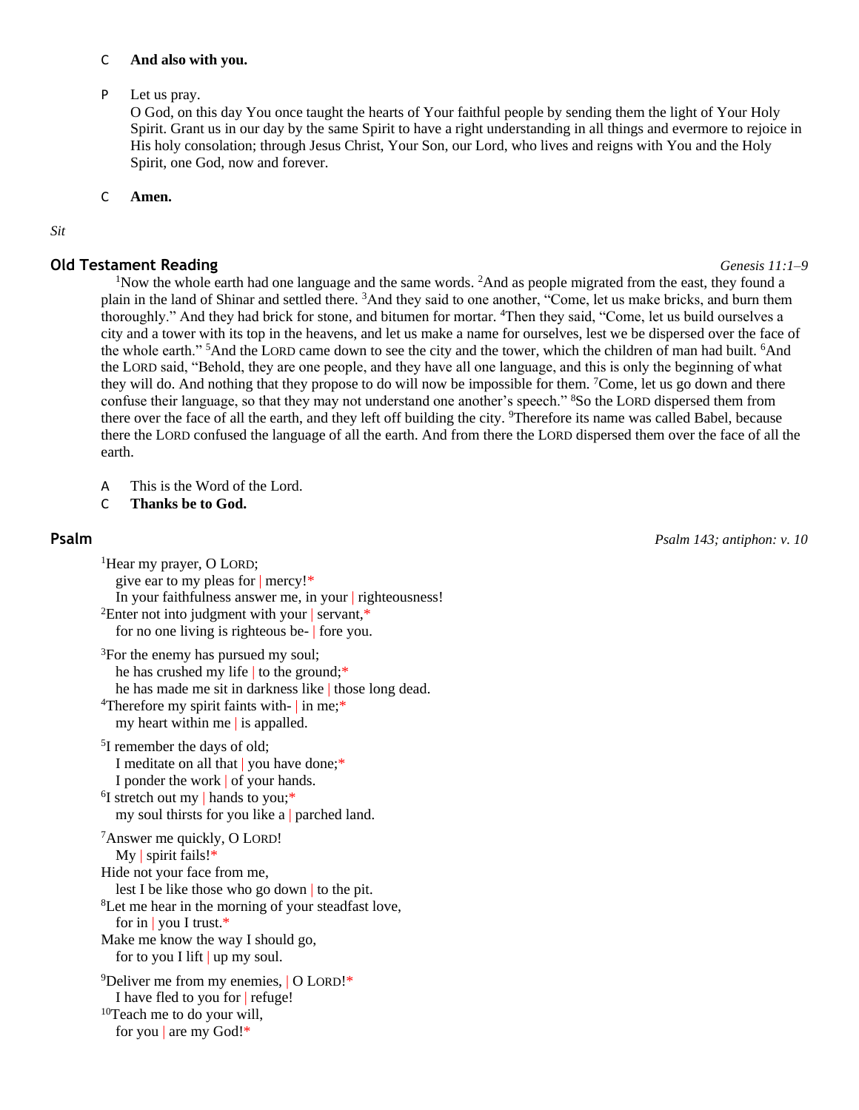#### C **And also with you.**

P Let us pray.

O God, on this day You once taught the hearts of Your faithful people by sending them the light of Your Holy Spirit. Grant us in our day by the same Spirit to have a right understanding in all things and evermore to rejoice in His holy consolation; through Jesus Christ, Your Son, our Lord, who lives and reigns with You and the Holy Spirit, one God, now and forever.

C **Amen.**

#### *Sit*

#### **Old Testament Reading** *Genesis 11:1–9*

<sup>1</sup>Now the whole earth had one language and the same words. <sup>2</sup>And as people migrated from the east, they found a plain in the land of Shinar and settled there. <sup>3</sup>And they said to one another, "Come, let us make bricks, and burn them thoroughly." And they had brick for stone, and bitumen for mortar. <sup>4</sup>Then they said, "Come, let us build ourselves a city and a tower with its top in the heavens, and let us make a name for ourselves, lest we be dispersed over the face of the whole earth." <sup>5</sup>And the LORD came down to see the city and the tower, which the children of man had built. <sup>6</sup>And the LORD said, "Behold, they are one people, and they have all one language, and this is only the beginning of what they will do. And nothing that they propose to do will now be impossible for them. <sup>7</sup>Come, let us go down and there confuse their language, so that they may not understand one another's speech." <sup>8</sup>So the LORD dispersed them from there over the face of all the earth, and they left off building the city. <sup>9</sup>Therefore its name was called Babel, because there the LORD confused the language of all the earth. And from there the LORD dispersed them over the face of all the earth.

- A This is the Word of the Lord.
- C **Thanks be to God.**

**Psalm** *Psalm 143; antiphon: v. 10*

<sup>1</sup>Hear my prayer, O LORD; give ear to my pleas for | mercy!\* In your faithfulness answer me, in your | righteousness! <sup>2</sup>Enter not into judgment with your | servant,\* for no one living is righteous be- | fore you. <sup>3</sup>For the enemy has pursued my soul; he has crushed my life to the ground;\* he has made me sit in darkness like | those long dead. <sup>4</sup>Therefore my spirit faints with- | in me;\* my heart within me | is appalled. <sup>5</sup>I remember the days of old; I meditate on all that | you have done;\* I ponder the work | of your hands. <sup>6</sup>I stretch out my | hands to you;\* my soul thirsts for you like a | parched land. <sup>7</sup>Answer me quickly, O LORD! My | spirit fails!\* Hide not your face from me, lest I be like those who go down | to the pit. <sup>8</sup>Let me hear in the morning of your steadfast love, for in | you I trust.\* Make me know the way I should go, for to you I lift | up my soul. <sup>9</sup>Deliver me from my enemies, | O LORD!\*

I have fled to you for | refuge! <sup>10</sup>Teach me to do your will,

for you | are my God!\*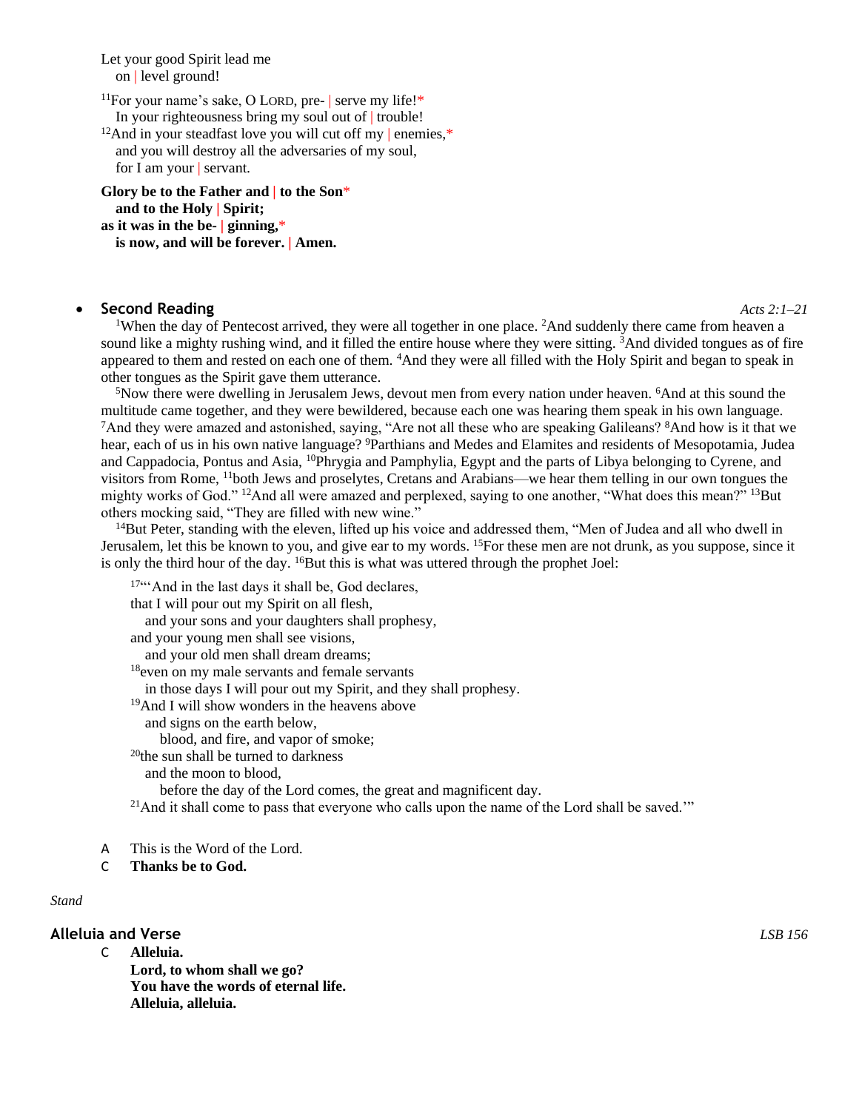Let your good Spirit lead me on | level ground!

<sup>11</sup>For your name's sake, O LORD, pre- | serve my life!\* In your righteousness bring my soul out of | trouble!

<sup>12</sup>And in your steadfast love you will cut off my  $|$  enemies,\* and you will destroy all the adversaries of my soul, for I am your | servant.

**Glory be to the Father and | to the Son**\* **and to the Holy | Spirit; as it was in the be- | ginning,**\* **is now, and will be forever. | Amen.**

#### • **Second Reading** *Acts 2:1–21*

<sup>1</sup>When the day of Pentecost arrived, they were all together in one place. <sup>2</sup>And suddenly there came from heaven a sound like a mighty rushing wind, and it filled the entire house where they were sitting. <sup>3</sup>And divided tongues as of fire appeared to them and rested on each one of them. <sup>4</sup>And they were all filled with the Holy Spirit and began to speak in other tongues as the Spirit gave them utterance.

<sup>5</sup>Now there were dwelling in Jerusalem Jews, devout men from every nation under heaven. <sup>6</sup>And at this sound the multitude came together, and they were bewildered, because each one was hearing them speak in his own language. <sup>7</sup>And they were amazed and astonished, saying, "Are not all these who are speaking Galileans? <sup>8</sup>And how is it that we hear, each of us in his own native language? <sup>9</sup>Parthians and Medes and Elamites and residents of Mesopotamia, Judea and Cappadocia, Pontus and Asia, <sup>10</sup>Phrygia and Pamphylia, Egypt and the parts of Libya belonging to Cyrene, and visitors from Rome, <sup>11</sup>both Jews and proselytes, Cretans and Arabians—we hear them telling in our own tongues the mighty works of God." <sup>12</sup>And all were amazed and perplexed, saying to one another, "What does this mean?" <sup>13</sup>But others mocking said, "They are filled with new wine."

<sup>14</sup>But Peter, standing with the eleven, lifted up his voice and addressed them, "Men of Judea and all who dwell in Jerusalem, let this be known to you, and give ear to my words. <sup>15</sup>For these men are not drunk, as you suppose, since it is only the third hour of the day.  ${}^{16}$ But this is what was uttered through the prophet Joel:

17""And in the last days it shall be, God declares, that I will pour out my Spirit on all flesh, and your sons and your daughters shall prophesy, and your young men shall see visions, and your old men shall dream dreams; <sup>18</sup>even on my male servants and female servants in those days I will pour out my Spirit, and they shall prophesy. <sup>19</sup>And I will show wonders in the heavens above and signs on the earth below, blood, and fire, and vapor of smoke; <sup>20</sup>the sun shall be turned to darkness and the moon to blood, before the day of the Lord comes, the great and magnificent day.  $21$ And it shall come to pass that everyone who calls upon the name of the Lord shall be saved.'"

- A This is the Word of the Lord.
- C **Thanks be to God.**

#### *Stand*

## **Alleluia and Verse** *LSB 156*

- C **Alleluia. Lord, to whom shall we go? You have the words of eternal life.**
	- **Alleluia, alleluia.**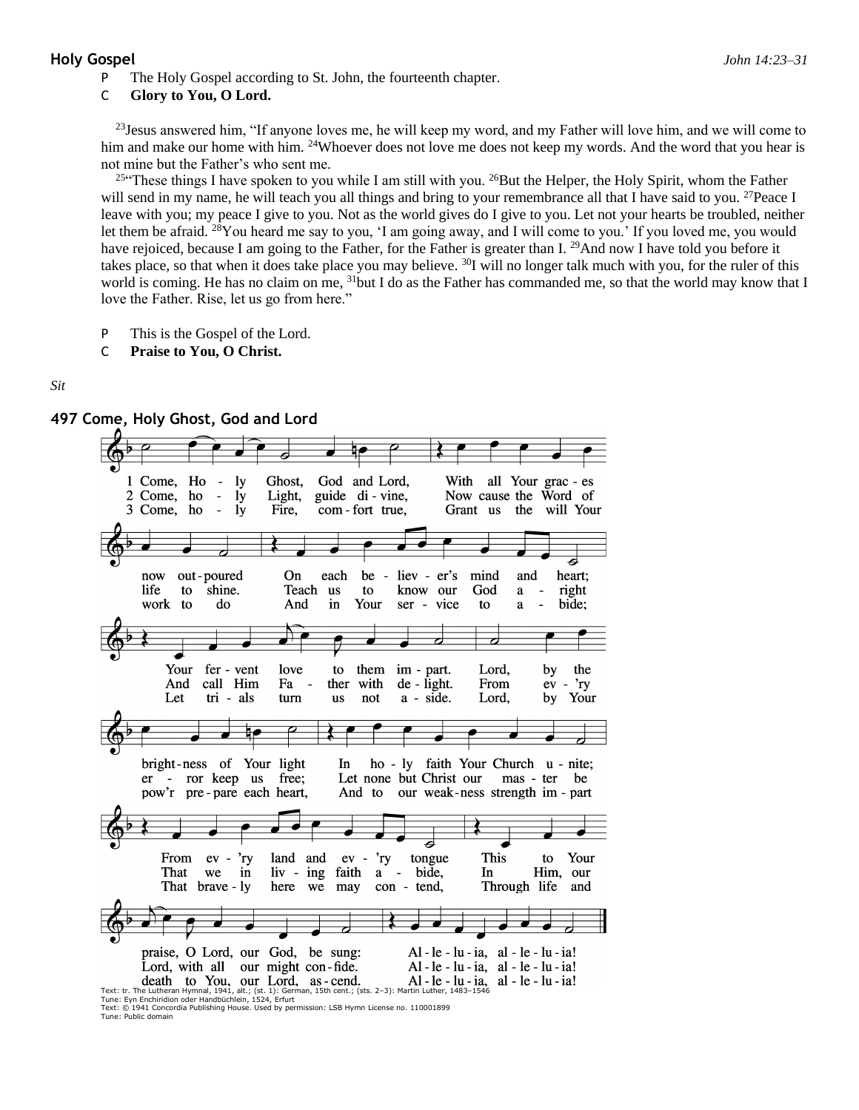#### **Holy Gospel** *John 14:23–31*

The Holy Gospel according to St. John, the fourteenth chapter.

#### C **Glory to You, O Lord.**

 $^{23}$ Jesus answered him, "If anyone loves me, he will keep my word, and my Father will love him, and we will come to him and make our home with him. <sup>24</sup>Whoever does not love me does not keep my words. And the word that you hear is not mine but the Father's who sent me.

<sup>25"</sup>These things I have spoken to you while I am still with you. <sup>26</sup>But the Helper, the Holy Spirit, whom the Father will send in my name, he will teach you all things and bring to your remembrance all that I have said to you. <sup>27</sup>Peace I leave with you; my peace I give to you. Not as the world gives do I give to you. Let not your hearts be troubled, neither let them be afraid. <sup>28</sup>You heard me say to you, 'I am going away, and I will come to you.' If you loved me, you would have rejoiced, because I am going to the Father, for the Father is greater than I. <sup>29</sup>And now I have told you before it takes place, so that when it does take place you may believe. <sup>30</sup>I will no longer talk much with you, for the ruler of this world is coming. He has no claim on me, <sup>31</sup>but I do as the Father has commanded me, so that the world may know that I love the Father. Rise, let us go from here."

- P This is the Gospel of the Lord.
- C **Praise to You, O Christ.**

#### *Sit*



**<sup>497</sup> Come, Holy Ghost, God and Lord**

Text: © 1941 Concordia Publishing House. Used by permission: LSB Hymn License no. 110001899 Tune: Public domain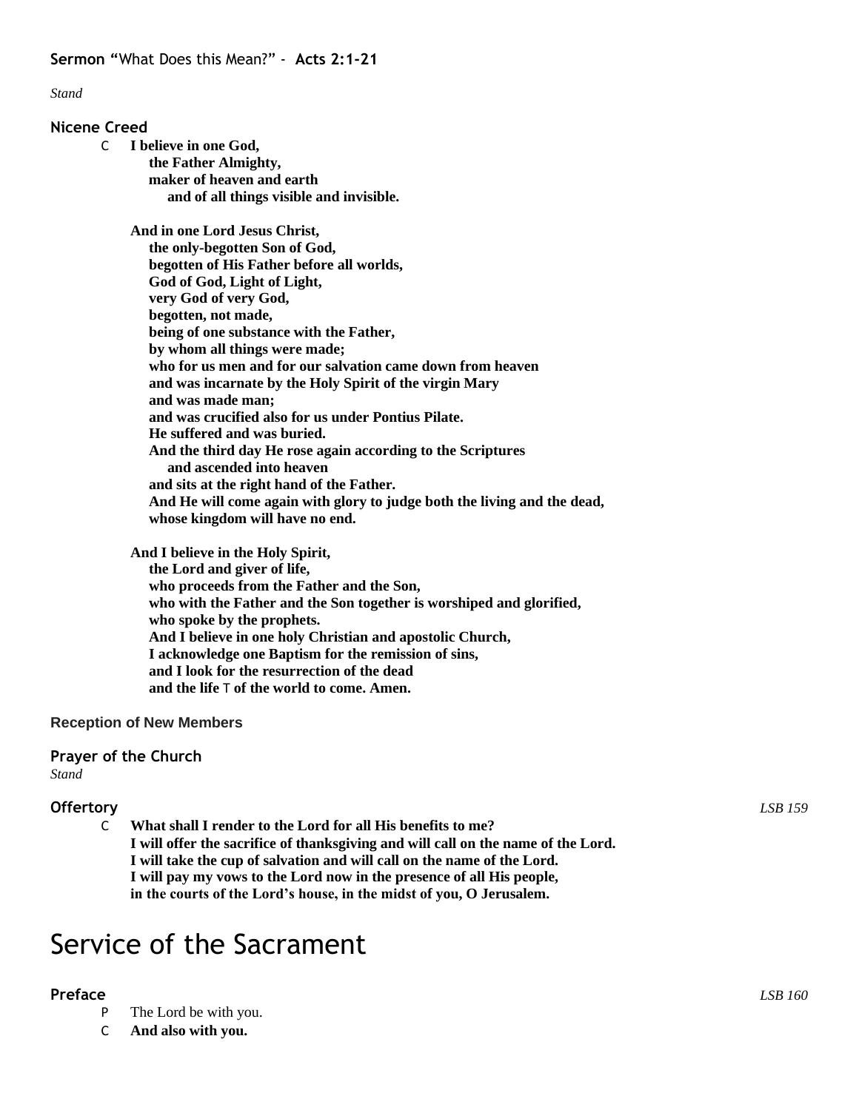*Stand*

### **Nicene Creed**

- C **I believe in one God,**
	- **the Father Almighty, maker of heaven and earth and of all things visible and invisible.**

**And in one Lord Jesus Christ, the only-begotten Son of God, begotten of His Father before all worlds, God of God, Light of Light, very God of very God, begotten, not made, being of one substance with the Father, by whom all things were made; who for us men and for our salvation came down from heaven and was incarnate by the Holy Spirit of the virgin Mary and was made man; and was crucified also for us under Pontius Pilate. He suffered and was buried. And the third day He rose again according to the Scriptures and ascended into heaven and sits at the right hand of the Father. And He will come again with glory to judge both the living and the dead, whose kingdom will have no end.**

**And I believe in the Holy Spirit, the Lord and giver of life, who proceeds from the Father and the Son, who with the Father and the Son together is worshiped and glorified, who spoke by the prophets. And I believe in one holy Christian and apostolic Church, I acknowledge one Baptism for the remission of sins, and I look for the resurrection of the dead and the life** T **of the world to come. Amen.**

# **Reception of New Members**

# **Prayer of the Church**

*Stand*

# **Offertory** *LSB 159*

C **What shall I render to the Lord for all His benefits to me? I will offer the sacrifice of thanksgiving and will call on the name of the Lord. I will take the cup of salvation and will call on the name of the Lord. I will pay my vows to the Lord now in the presence of all His people, in the courts of the Lord's house, in the midst of you, O Jerusalem.**

# Service of the Sacrament

# **Preface** *LSB 160*

- P The Lord be with you.
- C **And also with you.**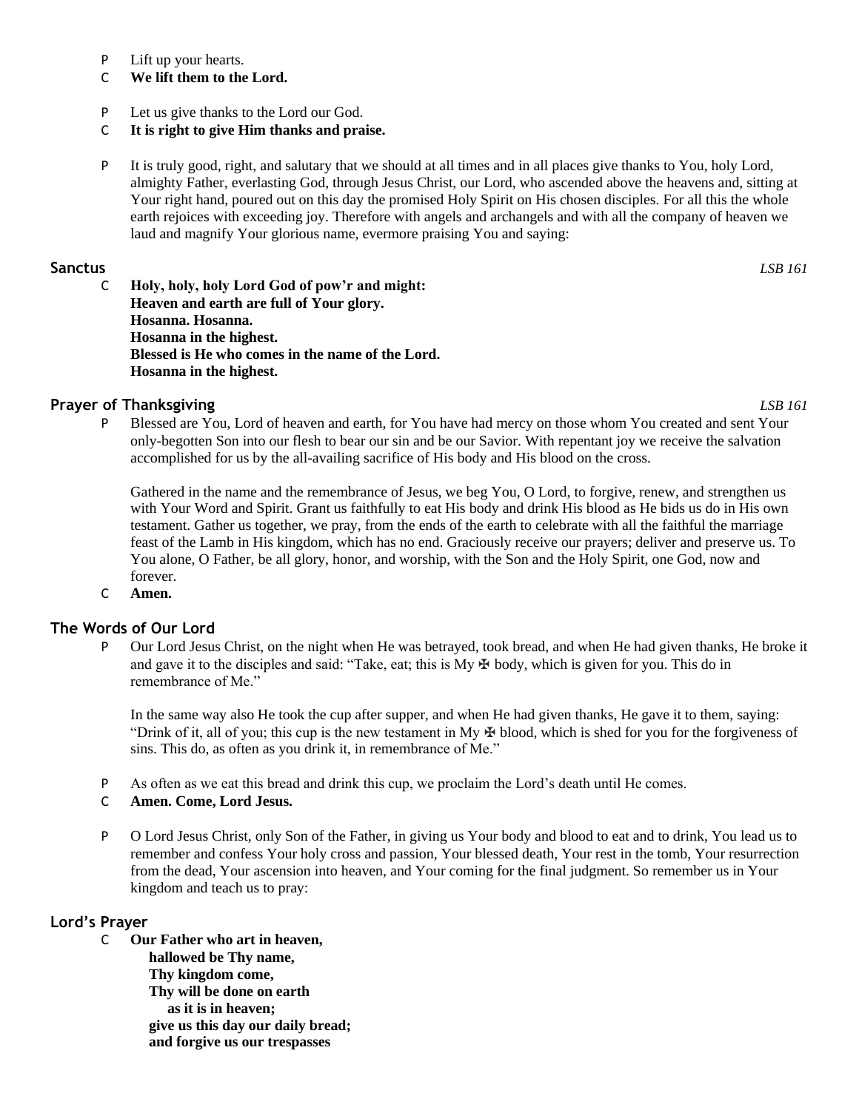- P Lift up your hearts.
- C **We lift them to the Lord.**
- P Let us give thanks to the Lord our God.
- C **It is right to give Him thanks and praise.**
- P It is truly good, right, and salutary that we should at all times and in all places give thanks to You, holy Lord, almighty Father, everlasting God, through Jesus Christ, our Lord, who ascended above the heavens and, sitting at Your right hand, poured out on this day the promised Holy Spirit on His chosen disciples. For all this the whole earth rejoices with exceeding joy. Therefore with angels and archangels and with all the company of heaven we laud and magnify Your glorious name, evermore praising You and saying:

### **Sanctus** *LSB 161*

C **Holy, holy, holy Lord God of pow'r and might: Heaven and earth are full of Your glory. Hosanna. Hosanna. Hosanna in the highest. Blessed is He who comes in the name of the Lord. Hosanna in the highest.**

# **Prayer of Thanksgiving** *LSB 161*

P Blessed are You, Lord of heaven and earth, for You have had mercy on those whom You created and sent Your only-begotten Son into our flesh to bear our sin and be our Savior. With repentant joy we receive the salvation accomplished for us by the all-availing sacrifice of His body and His blood on the cross.

Gathered in the name and the remembrance of Jesus, we beg You, O Lord, to forgive, renew, and strengthen us with Your Word and Spirit. Grant us faithfully to eat His body and drink His blood as He bids us do in His own testament. Gather us together, we pray, from the ends of the earth to celebrate with all the faithful the marriage feast of the Lamb in His kingdom, which has no end. Graciously receive our prayers; deliver and preserve us. To You alone, O Father, be all glory, honor, and worship, with the Son and the Holy Spirit, one God, now and forever.

C **Amen.**

# **The Words of Our Lord**

P Our Lord Jesus Christ, on the night when He was betrayed, took bread, and when He had given thanks, He broke it and gave it to the disciples and said: "Take, eat; this is My  $\oplus$  body, which is given for you. This do in remembrance of Me."

In the same way also He took the cup after supper, and when He had given thanks, He gave it to them, saying: "Drink of it, all of you; this cup is the new testament in My  $\oplus$  blood, which is shed for you for the forgiveness of sins. This do, as often as you drink it, in remembrance of Me."

- P As often as we eat this bread and drink this cup, we proclaim the Lord's death until He comes.
- C **Amen. Come, Lord Jesus.**
- P O Lord Jesus Christ, only Son of the Father, in giving us Your body and blood to eat and to drink, You lead us to remember and confess Your holy cross and passion, Your blessed death, Your rest in the tomb, Your resurrection from the dead, Your ascension into heaven, and Your coming for the final judgment. So remember us in Your kingdom and teach us to pray:

#### **Lord's Prayer**

C **Our Father who art in heaven, hallowed be Thy name, Thy kingdom come, Thy will be done on earth as it is in heaven; give us this day our daily bread; and forgive us our trespasses**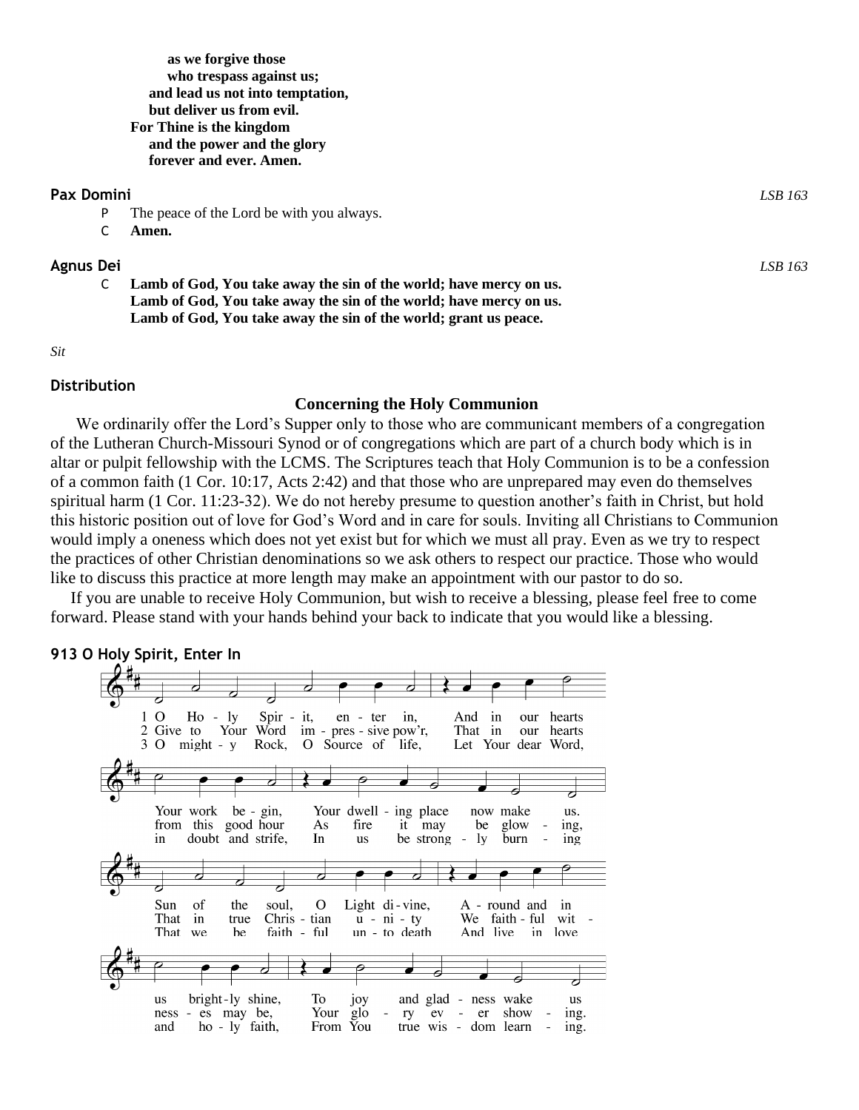**as we forgive those who trespass against us; and lead us not into temptation, but deliver us from evil. For Thine is the kingdom and the power and the glory forever and ever. Amen.**

#### **Pax Domini** *LSB 163*

- P The peace of the Lord be with you always.
- C **Amen.**

#### **Agnus Dei** *LSB 163*

C **Lamb of God, You take away the sin of the world; have mercy on us. Lamb of God, You take away the sin of the world; have mercy on us. Lamb of God, You take away the sin of the world; grant us peace.**

#### *Sit*

#### **Distribution**

#### **Concerning the Holy Communion**

We ordinarily offer the Lord's Supper only to those who are communicant members of a congregation of the Lutheran Church-Missouri Synod or of congregations which are part of a church body which is in altar or pulpit fellowship with the LCMS. The Scriptures teach that Holy Communion is to be a confession of a common faith (1 Cor. 10:17, Acts 2:42) and that those who are unprepared may even do themselves spiritual harm (1 Cor. 11:23-32). We do not hereby presume to question another's faith in Christ, but hold this historic position out of love for God's Word and in care for souls. Inviting all Christians to Communion would imply a oneness which does not yet exist but for which we must all pray. Even as we try to respect the practices of other Christian denominations so we ask others to respect our practice. Those who would like to discuss this practice at more length may make an appointment with our pastor to do so.

If you are unable to receive Holy Communion, but wish to receive a blessing, please feel free to come forward. Please stand with your hands behind your back to indicate that you would like a blessing.

# **913 O Holy Spirit, Enter In**

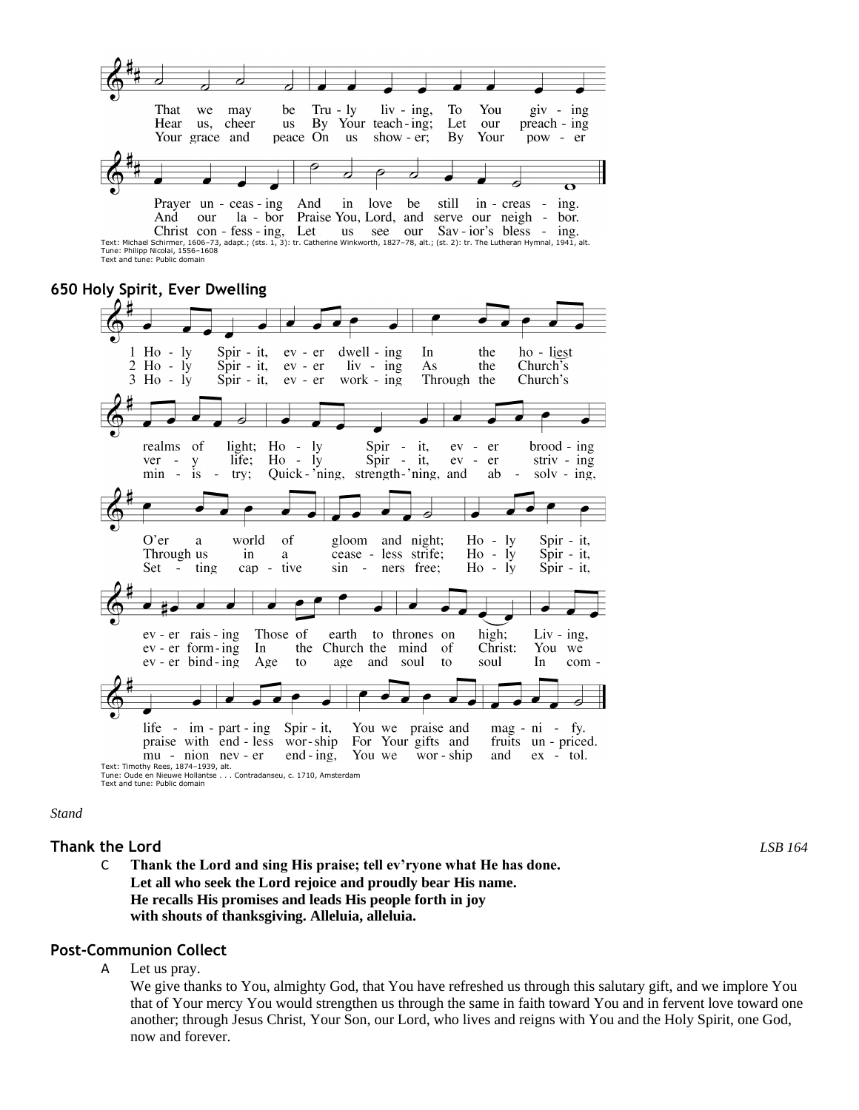

Tune: Philipp Nicolai, 1556–1608 Text and tune: Public domain

# **650 Holy Spirit, Ever Dwelling**



*Stand*

#### **Thank the Lord** *LSB 164*

C **Thank the Lord and sing His praise; tell ev'ryone what He has done. Let all who seek the Lord rejoice and proudly bear His name. He recalls His promises and leads His people forth in joy with shouts of thanksgiving. Alleluia, alleluia.**

#### **Post-Communion Collect**

A Let us pray.

We give thanks to You, almighty God, that You have refreshed us through this salutary gift, and we implore You that of Your mercy You would strengthen us through the same in faith toward You and in fervent love toward one another; through Jesus Christ, Your Son, our Lord, who lives and reigns with You and the Holy Spirit, one God, now and forever.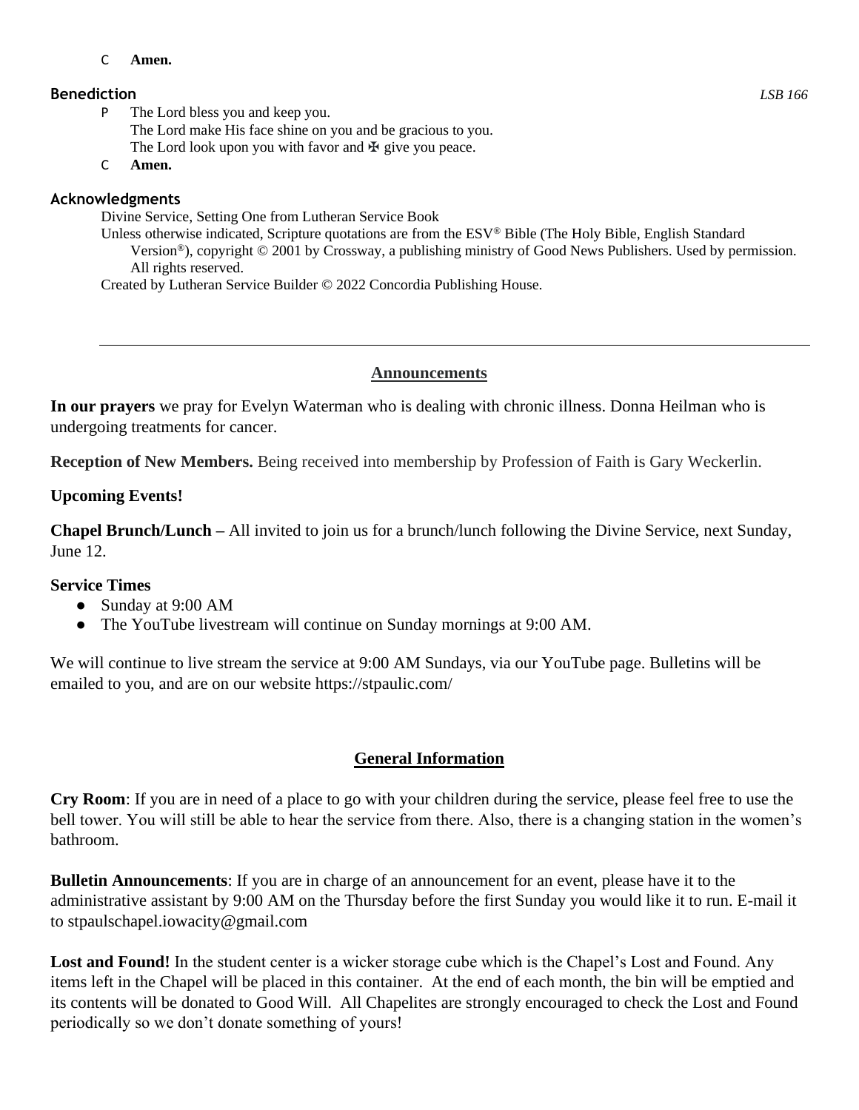#### C **Amen.**

- P The Lord bless you and keep you. The Lord make His face shine on you and be gracious to you. The Lord look upon you with favor and  $\mathbb F$  give you peace.
- C **Amen.**

# **Acknowledgments**

Divine Service, Setting One from Lutheran Service Book

Unless otherwise indicated, Scripture quotations are from the ESV® Bible (The Holy Bible, English Standard Version®), copyright © 2001 by Crossway, a publishing ministry of Good News Publishers. Used by permission. All rights reserved.

Created by Lutheran Service Builder © 2022 Concordia Publishing House.

# **Announcements**

**In our prayers** we pray for Evelyn Waterman who is dealing with chronic illness. Donna Heilman who is undergoing treatments for cancer.

**Reception of New Members.** Being received into membership by Profession of Faith is Gary Weckerlin.

# **Upcoming Events!**

**Chapel Brunch/Lunch –** All invited to join us for a brunch/lunch following the Divine Service, next Sunday, June 12.

# **Service Times**

- Sunday at 9:00 AM
- The YouTube livestream will continue on Sunday mornings at 9:00 AM.

We will continue to live stream the service at 9:00 AM Sundays, via our YouTube page. Bulletins will be emailed to you, and are on our website https://stpaulic.com/

# **General Information**

**Cry Room**: If you are in need of a place to go with your children during the service, please feel free to use the bell tower. You will still be able to hear the service from there. Also, there is a changing station in the women's bathroom.

**Bulletin Announcements**: If you are in charge of an announcement for an event, please have it to the administrative assistant by 9:00 AM on the Thursday before the first Sunday you would like it to run. E-mail it to stpaulschapel.iowacity@gmail.com

Lost and Found! In the student center is a wicker storage cube which is the Chapel's Lost and Found. Any items left in the Chapel will be placed in this container. At the end of each month, the bin will be emptied and its contents will be donated to Good Will. All Chapelites are strongly encouraged to check the Lost and Found periodically so we don't donate something of yours!